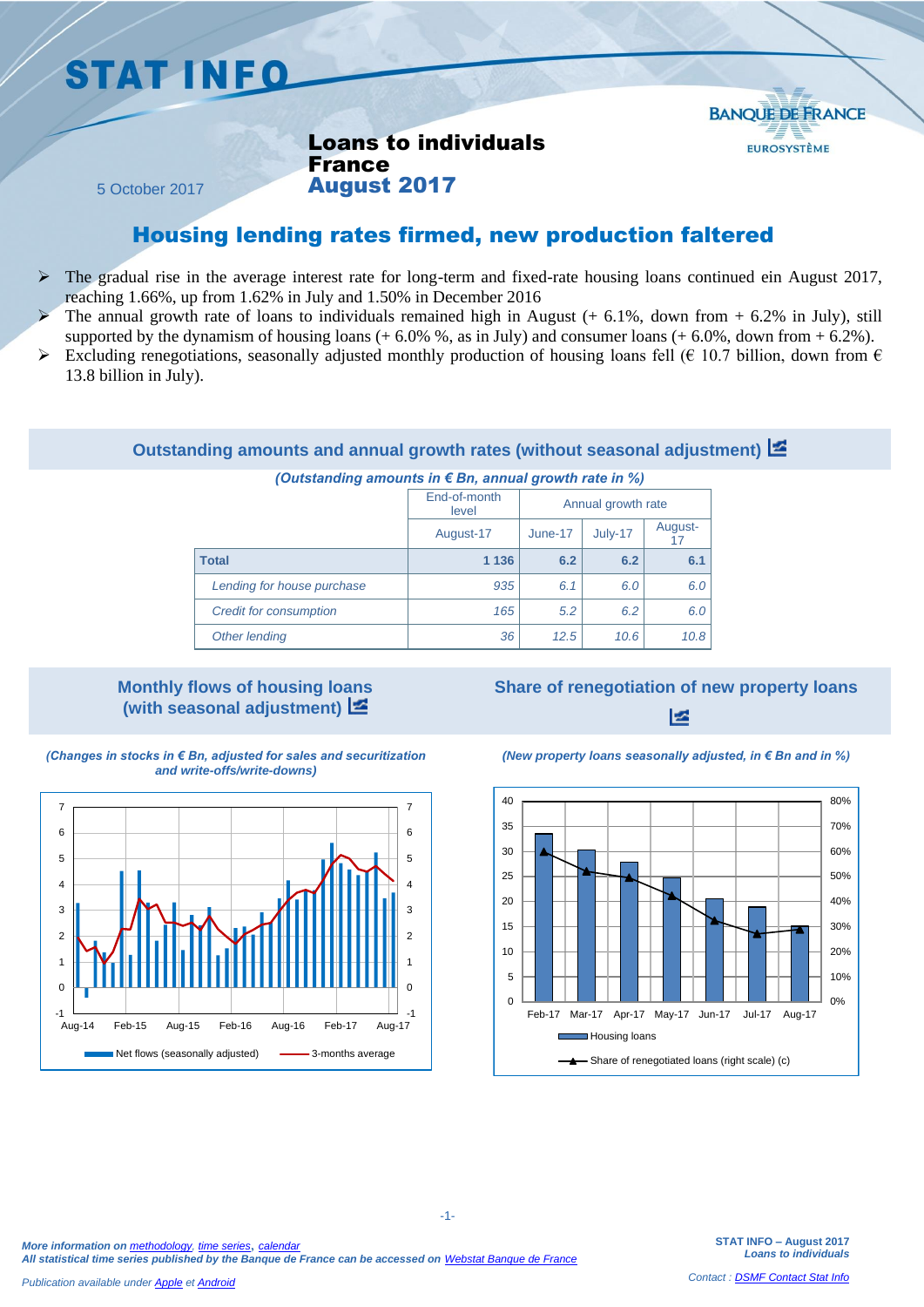## **STAT INFO**



Loans to individuals France August 2017

5 October 2017

## Housing lending rates firmed, new production faltered

- $\triangleright$  The gradual rise in the average interest rate for long-term and fixed-rate housing loans continued ein August 2017, reaching 1.66%, up from 1.62% in July and 1.50% in December 2016
- The annual growth rate of loans to individuals remained high in August  $(+ 6.1\%$ , down from  $+ 6.2\%$  in July), still supported by the dynamism of housing loans  $(+ 6.0\%$  %, as in July) and consumer loans  $(+ 6.0\%$ , down from  $+ 6.2\%$ ).
- Excluding renegotiations, seasonally adjusted monthly production of housing loans fell ( $\epsilon$  10.7 billion, down from  $\epsilon$ 13.8 billion in July).

### **Outstanding amounts and annual growth rates (without seasonal adjustment)**

#### *(Outstanding amounts in € Bn, annual growth rate in %)*

|                               | End-of-month<br>level | Annual growth rate |      |               |  |
|-------------------------------|-----------------------|--------------------|------|---------------|--|
|                               | August-17             | July-17<br>June-17 |      | August-<br>17 |  |
| <b>Total</b>                  | 1 1 3 6               | 6.2                | 6.2  | 6.1           |  |
| Lending for house purchase    | 935                   | 6.1                | 6.0  | 6.0           |  |
| <b>Credit for consumption</b> | 165                   | 5.2                | 6.2  | 6.0           |  |
| Other lending                 | 36                    | 12.5               | 10.6 | 10.8          |  |

### **Monthly flows of housing loans (with seasonal adjustment)**

## **Share of renegotiation of new property loans** ⊵ا

*(Changes in stocks in € Bn, adjusted for sales and securitization and write-offs/write-downs)*



### *(New property loans seasonally adjusted, in € Bn and in %)*